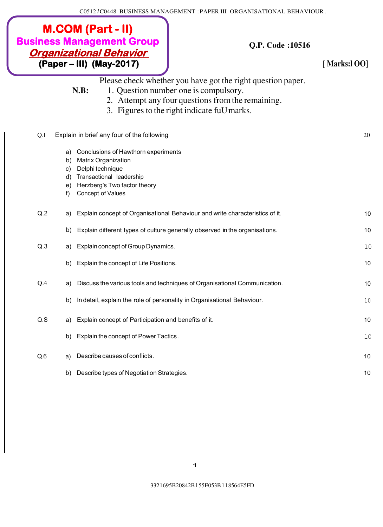C0512 *I* C0448 BUSINESS MANAGEMENT : PAPER III ORGANISATIONAL BEHAVIOUR .

| <b>M.COM (Part - II)</b><br><b>Business Management Group</b><br><u> Organizational Behavior</u><br>(Paper – III) (May-2017) |                                  |                                                                                                                                                                               | <b>Q.P. Code:10516</b>                                                                                                                                                                                   | [Marks:100] |
|-----------------------------------------------------------------------------------------------------------------------------|----------------------------------|-------------------------------------------------------------------------------------------------------------------------------------------------------------------------------|----------------------------------------------------------------------------------------------------------------------------------------------------------------------------------------------------------|-------------|
|                                                                                                                             |                                  | N.B:                                                                                                                                                                          | Please check whether you have got the right question paper.<br>1. Question number one is compulsory.<br>2. Attempt any four questions from the remaining.<br>3. Figures to the right indicate fuU marks. |             |
| Q.1                                                                                                                         |                                  | Explain in brief any four of the following                                                                                                                                    |                                                                                                                                                                                                          | 20          |
|                                                                                                                             | a)<br>b)<br>C)<br>d)<br>e)<br>f) | Conclusions of Hawthorn experiments<br><b>Matrix Organization</b><br>Delphi technique<br>Transactional leadership<br>Herzberg's Two factor theory<br><b>Concept of Values</b> |                                                                                                                                                                                                          |             |
| Q.2                                                                                                                         | a)                               |                                                                                                                                                                               | Explain concept of Organisational Behaviour and write characteristics of it.                                                                                                                             | 10          |
|                                                                                                                             | b)                               |                                                                                                                                                                               | Explain different types of culture generally observed in the organisations.                                                                                                                              | 10          |
| Q.3                                                                                                                         | a)                               | Explain concept of Group Dynamics.                                                                                                                                            |                                                                                                                                                                                                          | 10          |
|                                                                                                                             | b)                               | Explain the concept of Life Positions.                                                                                                                                        |                                                                                                                                                                                                          | 10          |
| Q.4                                                                                                                         | a)                               |                                                                                                                                                                               | Discuss the various tools and techniques of Organisational Communication.                                                                                                                                | 10          |
|                                                                                                                             |                                  |                                                                                                                                                                               | b) In detail, explain the role of personality in Organisational Behaviour.                                                                                                                               | 10          |
| Q.S                                                                                                                         | a)                               | Explain concept of Participation and benefits of it.                                                                                                                          |                                                                                                                                                                                                          | 10          |
|                                                                                                                             | b)                               | Explain the concept of Power Tactics.                                                                                                                                         |                                                                                                                                                                                                          | 10          |
| Q.6                                                                                                                         | a)                               | Describe causes of conflicts.                                                                                                                                                 |                                                                                                                                                                                                          | 10          |
|                                                                                                                             | b)                               | Describe types of Negotiation Strategies.                                                                                                                                     |                                                                                                                                                                                                          | 10          |

332 l 695B20842B l 55E053B l l 8564E5FD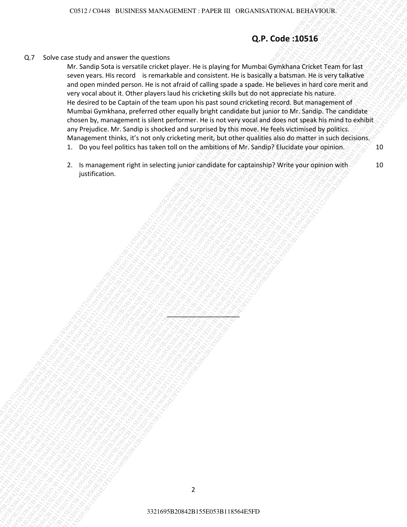# **Q.P. Code :10516**

Q.7 Solve case study and answer the questions

Sabre care study and amount the guestions<br>
Mr. Sandya Sala was made crising payer, the is adjusted guest Murinical Guessian interesting<br>
Mr. Sandya Sala was made an control of the state control of the state of the state of 3216 C346 E103 and a summer the axisticity since  $\Omega$  F.C. Code 1.00516<br>
34216 Schwarf Schwarf Schwarf Schwarf Schwarf Schwarf Schwarf Schwarf Schwarf Schwarf Schwarf Schwarf Schwarf Schwarf Schwarf Schwarf Schwarf Schwar 3321695B20842B155E053B118564E5FD3321695B20842B155E053B118564E5FD3321695B20842B155E053B118564E5FD3321695B20842B155E053B118564E5FD3321695B20842B155E053B118564E5FD3321695B20842B155E053B118564E5FD 33216962828821645428164564E5FD3321642B155E053B118564E5FD332163B118564E5FD332163B113564E5FD332163B113564E5FD332163B113564E5FD332163B113564E5FD332163B113564E5FD332163B113564E5FD332163B113564E5FD332163B113564E5FD332163B11356 3321695B20842B155E053B118564E5FD3321695B20842B155E053B118564E5FD3321695B20842B155E053B118564E5FD3321695B20842B155E053B118564E5FD3321695B20842B155E053B118564E5FD3321695B20842B155E053B118564E5FD  $328216$   $(1852985833216)$   $(18529858332226)$   $(185295856)$   $(185295856)$   $(185295856)$   $(185295856)$   $(185295856)$   $(185295856)$   $(185295856)$   $(185295856)$   $(185295856)$   $(185295856)$   $(185295856)$   $(185295856)$   $(18529$ 3321695B20842B155E053B118564E5FD3321695B20842B155E053B118564E5FD3321695B20842B155E053B118564E5FD3321695B20842B155E053B118564E5FD3321695B20842B155E053B118564E5FD3321695B20842B155E053B118564E5FD 2321<br>
2321 Solor dan analysis tanyon mengenduati dan karakteristan dan analysis tanyon mengenduati dan karakteristan<br>
3421 Solor dan analysis tanyon mengenduati dan karakteristan dan karakteristan dan analysis tanyon menge 332169185 B2638236 M20012B1285 H20012B1285<br>
325 Sobre Const Hugh your discussion of the specified to the specified to the specified to the specified of the specified of the specified of the specified of the specified of t 332169185 B2638236 M20012B1285 H20012B1285<br>
325 Sobre Const Hugh your discussion of the specified to the specified to the specified to the specified of the specified of the specified of the specified of the specified of t 332169185 B2638236 M20012B1285 H20012B1285<br>
325 Sobre Const Hugh your discussion of the specified to the specified to the specified to the specified of the specified of the specified of the specified of the specified of t 3321622216965-Washington and the property of the property of the property of the property of the property of the property of the property of the property of the property of the property of the property of the property of t 3321695B20842B155E053B118564E5FD3321695B20842B155E053B118564E5FD3321695B20842B155E053B118564E5FD3321695B20842B155E053B118564E5FD3321695B20842B155E053B118564E5FD3321695B20842B155E053B118564E5FD 332169523163442 B135658544 MAXIER JENTRE III 1980445654 MONTELES ARE CONSISTENT AND A CONSISTENT AND A CONSISTENT AND A CONSISTENT AND A CONSISTENT AND A CONSISTENT AND A CONSISTENT AND A CONSISTENT AND A CONSISTENT AND A  $529$ <br>  $329$ <br>  $329$ <br>  $329$ <br>  $332$ <br>  $352$ <br>  $352$ <br>  $362$ <br>  $352$ <br>  $362$ <br>  $362$ <br>  $362$ <br>  $362$ <br>  $362$ <br>  $362$ <br>  $362$ <br>  $362$ <br>  $362$ <br>  $362$ <br>  $362$ <br>  $362$ <br>  $362$ <br>  $362$ <br>  $362$ <br>  $362$ <br>  $362$ <br>  $362$ <br>  $362$ <br>  $362$ <br>  $362$ <br>  $362$ <br>  $362$ 3321612951951185642551185454251185457118545711854571185457118564570120118<br>
329 Color state sharped and consider property on the property of Musician Specification Center State for State<br>
3476 Color state of the considered 3321 (32) (333) (333) (333) (333) (333) (333) (334) (334) (334) (334) (334) (335) (335) (335) (335) (335) (335) (335) (335) (335) (335) (335) (345) (335) (335) (345) (335) (335) (335) (335) (335) (335) (335) (335) (335) ( 3322169585 1635855 MAX-ACBACT - 27 VIDEO OR CANSIS/TOWAL DEIX/YOUNE<br>
329 York case at Modular interest the quasipate and consistent inter statement interest them can feel and the statement interest interest interest intere 3321624881 B155C6585 BACKAGEST - PAPER III. OK CANSAST CONCLUSION INCONSERVENCE (2015)<br>
329 For other case of the most of the conserved and conserved and conserved and conserved and conserved and conserved and conserved an 33216205 States and the product of the product of the product of the state of the state of the state of the state of the state of the state of the state of the state of the state of the state of the state of the state of t Mr. Sandip Sota is versatile cricket player. He is playing for Mumbai Gymkhana Cricket Team for last seven years. His record is remarkable and consistent. He is basically a batsman. He is very talkative and open minded person. He is not afraid of calling spade a spade. He believes in hard core merit and very vocal about it. Other players laud his cricketing skills but do not appreciate his nature. He desired to be Captain of the team upon his past sound cricketing record. But management of Mumbai Gymkhana, preferred other equally bright candidate but junior to Mr. Sandip. The candidate chosen by, management is silent performer. He is not very vocal and does not speak his mind to exhibit any Prejudice. Mr. Sandip is shocked and surprised by this move. He feels victimised by politics. Management thinks, it's not only cricketing merit, but other qualities also do matter in such decisions. 10

- 1. Do you feel politics has taken toll on the ambitions of Mr. Sandip? Elucidate your opinion.
- 2. Is management right in selecting junior candidate for captainship? Write your opinion with justification.

\_\_\_\_\_\_\_\_\_\_\_\_\_\_\_\_\_\_\_\_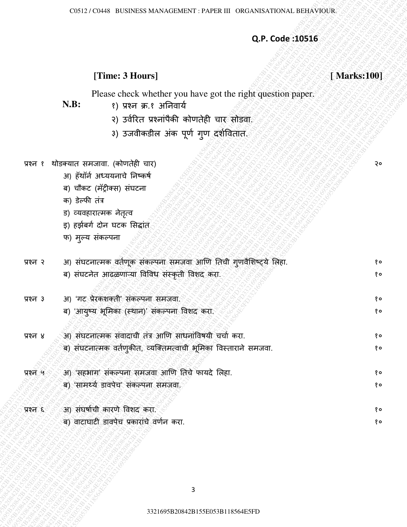# **Q.P. Code :10516**

# **[Time: 3 Hours] [ Marks:100]**

- **N.B:** १) प्रश्न क्र.१ अननवार्य
	- २) उर्वरित प्रश्नांपैकी कोणतेही चार<sup>्</sup>सोडवा.
	- ३) उजवीकडील अक पूर्ण गुण दर्शवितात.
- प्रश्न १ थोडक्यात समजावा. (कोणतेही चार)
	- अ) हॅथॉर्न अध्ययनाचे निष्कर्ष
	- ब) चौकट (मॅट्रीक्स) संघटना
	- क) डȯल्फी तांत्र
	- ड) व्यवहारात्मक नेतृत्व
	- इ) हर्झबर्ग दोन घटक सिद्धांत
	- फ) मुल्य संकल्पना

|          |                                                                                                 | Q.P. Code: 10516 |
|----------|-------------------------------------------------------------------------------------------------|------------------|
|          |                                                                                                 |                  |
|          | [Time: 3 Hours]                                                                                 | [Marks:100]      |
|          | Please check whether you have got the right question paper.<br>N.B:<br>१) प्रश्न क्र.१ अनिवार्य |                  |
|          | २) उर्वरित प्रश्नांपैकी कोणतेही चार सोडवा                                                       |                  |
|          | 3) उजवीकडील अंक पूर्ण गुण दर्शवितात.                                                            |                  |
|          |                                                                                                 |                  |
| प्रश्न १ | थोडक्यात समजावा. (कोणतेही चार)                                                                  | २०               |
|          | आ) हॅथॉर्न अध्ययनाचे निष्कर्ष                                                                   |                  |
|          | ब) चौकट (मॅट्रीक्स) संघटना                                                                      |                  |
|          | क) डेल्फी तंत्र                                                                                 |                  |
|          | ड) व्यवहारात्मक नेतृत्व                                                                         |                  |
|          | इ) हर्झबर्ग दोन घटक सिद्धांत                                                                    |                  |
|          | फ) मुल्य संकल्पना                                                                               |                  |
| प्रश्न २ | अ) संघटनात्मक वर्तणूक संकल्पना समजवा आणि तिची गुणवैशिष्ट्ये लिहा.                               | १०               |
|          | ब) संघटनेत आढळणाऱ्या विविध संस्कृती विशद करा.                                                   | १०               |
| प्रश्न ३ | आ) 'गट प्रेरकशक्ती' संकल्पना समजवा.                                                             | १०               |
|          | ब) 'आयुष्य भूमिका (स्थान)' संकल्पना विशद करा.                                                   | १०               |
| प्रश्न ४ | अ) संघटनात्मक संवादाची तंत्र आणि साधनांविषयी चर्चा करा.                                         | १०               |
|          | ब) संघटनात्मक वर्तणुकीत, व्यक्तिमत्वाची भूमिका विस्ताराने समजवा.                                | १०               |
|          | अ) 'सहभाग' संकल्पना समजवा आणि तिचे फायदे लिहा.                                                  |                  |
| प्रश्न ५ | ब) 'सामर्थ्य डावपेच' संकल्पना समजवा                                                             | १०<br>१०         |
|          |                                                                                                 |                  |
| प्रश्न ६ | आ) संघर्षाची कारणे विशद करा.                                                                    | १०               |
|          | ब) वाटाघाटी डावपेच प्रकारांचे वर्णन करा.                                                        | १०               |
|          |                                                                                                 |                  |
|          |                                                                                                 |                  |
|          |                                                                                                 |                  |
|          | 3                                                                                               |                  |
|          |                                                                                                 |                  |
|          | 3321695B20842B155E053B118564E5FD                                                                |                  |